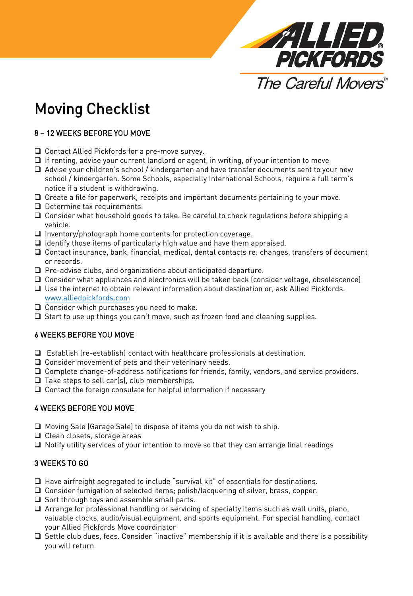

# Moving Checklist

## 8 – 12 WEEKS BEFORE YOU MOVE

- □ Contact Allied Pickfords for a pre-move survey.
- $\Box$  If renting, advise your current landlord or agent, in writing, of your intention to move
- $\Box$  Advise your children's school / kindergarten and have transfer documents sent to your new school / kindergarten. Some Schools, especially International Schools, require a full term's notice if a student is withdrawing.
- $\Box$  Create a file for paperwork, receipts and important documents pertaining to your move.
- $\Box$  Determine tax requirements.
- Consider what household goods to take. Be careful to check regulations before shipping a vehicle.
- $\Box$  Inventory/photograph home contents for protection coverage.
- $\Box$  Identify those items of particularly high value and have them appraised.
- $\Box$  Contact insurance, bank, financial, medical, dental contacts re: changes, transfers of document or records.
- $\Box$  Pre-advise clubs, and organizations about anticipated departure.
- $\Box$  Consider what appliances and electronics will be taken back (consider voltage, obsolescence)
- $\Box$  Use the internet to obtain relevant information about destination or, ask Allied Pickfords. [www.alliedpickfords.com](http://www.alliedpickfords.com/)
- $\Box$  Consider which purchases you need to make.
- $\Box$  Start to use up things you can't move, such as frozen food and cleaning supplies.

#### 6 WEEKS BEFORE YOU MOVE

- $\Box$  Establish (re-establish) contact with healthcare professionals at destination.
- $\Box$  Consider movement of pets and their veterinary needs.
- Complete change-of-address notifications for friends, family, vendors, and service providers.
- $\Box$  Take steps to sell car(s), club memberships.
- $\Box$  Contact the foreign consulate for helpful information if necessary

#### 4 WEEKS BEFORE YOU MOVE

- □ Moving Sale (Garage Sale) to dispose of items you do not wish to ship.
- □ Clean closets, storage areas
- $\Box$  Notify utility services of your intention to move so that they can arrange final readings

#### 3 WEEKS TO GO

- $\Box$  Have airfreight segregated to include "survival kit" of essentials for destinations.
- Consider fumigation of selected items; polish/lacquering of silver, brass, copper.
- $\Box$  Sort through toys and assemble small parts.
- Arrange for professional handling or servicing of specialty items such as wall units, piano, valuable clocks, audio/visual equipment, and sports equipment. For special handling, contact your Allied Pickfords Move coordinator
- $\Box$  Settle club dues, fees. Consider "inactive" membership if it is available and there is a possibility you will return.